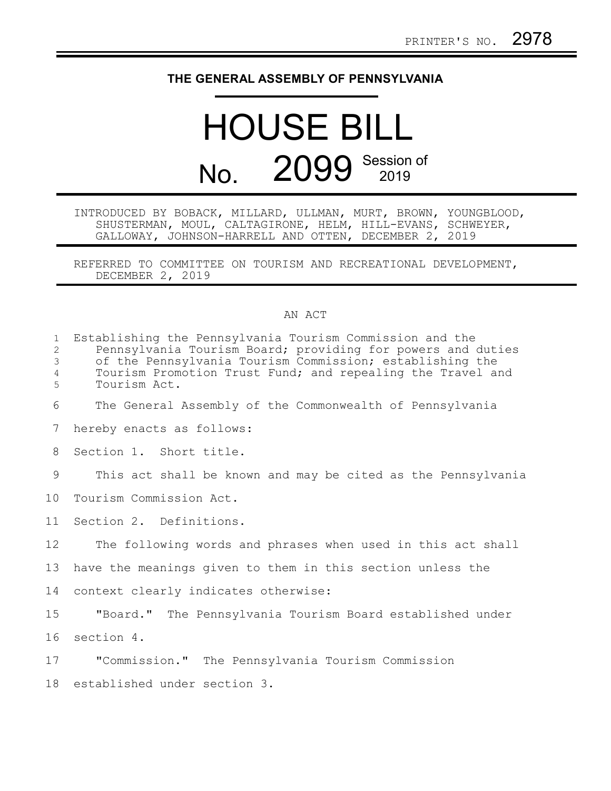## **THE GENERAL ASSEMBLY OF PENNSYLVANIA**

## HOUSE BILL No. 2099 Session of

INTRODUCED BY BOBACK, MILLARD, ULLMAN, MURT, BROWN, YOUNGBLOOD, SHUSTERMAN, MOUL, CALTAGIRONE, HELM, HILL-EVANS, SCHWEYER, GALLOWAY, JOHNSON-HARRELL AND OTTEN, DECEMBER 2, 2019

REFERRED TO COMMITTEE ON TOURISM AND RECREATIONAL DEVELOPMENT, DECEMBER 2, 2019

## AN ACT

| $\mathbf{1}$<br>2<br>3<br>$\overline{4}$<br>5 | Establishing the Pennsylvania Tourism Commission and the<br>Pennsylvania Tourism Board; providing for powers and duties<br>of the Pennsylvania Tourism Commission; establishing the<br>Tourism Promotion Trust Fund; and repealing the Travel and<br>Tourism Act. |
|-----------------------------------------------|-------------------------------------------------------------------------------------------------------------------------------------------------------------------------------------------------------------------------------------------------------------------|
| 6                                             | The General Assembly of the Commonwealth of Pennsylvania                                                                                                                                                                                                          |
| 7                                             | hereby enacts as follows:                                                                                                                                                                                                                                         |
| 8                                             | Section 1. Short title.                                                                                                                                                                                                                                           |
| 9                                             | This act shall be known and may be cited as the Pennsylvania                                                                                                                                                                                                      |
| 10                                            | Tourism Commission Act.                                                                                                                                                                                                                                           |
| 11                                            | Section 2. Definitions.                                                                                                                                                                                                                                           |
| $12 \,$                                       | The following words and phrases when used in this act shall                                                                                                                                                                                                       |
| 13                                            | have the meanings given to them in this section unless the                                                                                                                                                                                                        |
| 14                                            | context clearly indicates otherwise:                                                                                                                                                                                                                              |
| 15                                            | "Board." The Pennsylvania Tourism Board established under                                                                                                                                                                                                         |
| 16                                            | section 4.                                                                                                                                                                                                                                                        |
| 17                                            | "Commission." The Pennsylvania Tourism Commission                                                                                                                                                                                                                 |
| 18                                            | established under section 3.                                                                                                                                                                                                                                      |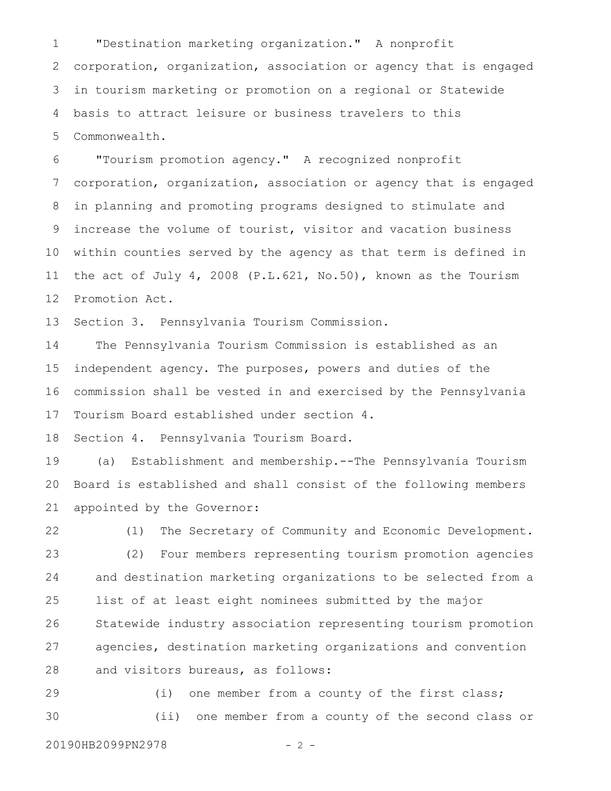"Destination marketing organization." A nonprofit corporation, organization, association or agency that is engaged in tourism marketing or promotion on a regional or Statewide basis to attract leisure or business travelers to this Commonwealth. 1 2 3 4 5

"Tourism promotion agency." A recognized nonprofit corporation, organization, association or agency that is engaged in planning and promoting programs designed to stimulate and increase the volume of tourist, visitor and vacation business within counties served by the agency as that term is defined in the act of July 4, 2008 (P.L.621, No.50), known as the Tourism Promotion Act. 6 7 8 9 10 11 12

Section 3. Pennsylvania Tourism Commission. 13

The Pennsylvania Tourism Commission is established as an independent agency. The purposes, powers and duties of the commission shall be vested in and exercised by the Pennsylvania Tourism Board established under section 4. 14 15 16 17

Section 4. Pennsylvania Tourism Board. 18

(a) Establishment and membership.--The Pennsylvania Tourism Board is established and shall consist of the following members appointed by the Governor: 19 20 21

(1) The Secretary of Community and Economic Development. (2) Four members representing tourism promotion agencies and destination marketing organizations to be selected from a list of at least eight nominees submitted by the major Statewide industry association representing tourism promotion agencies, destination marketing organizations and convention and visitors bureaus, as follows: 22 23 24 25 26 27 28

(i) one member from a county of the first class; (ii) one member from a county of the second class or 29 30

20190HB2099PN2978 - 2 -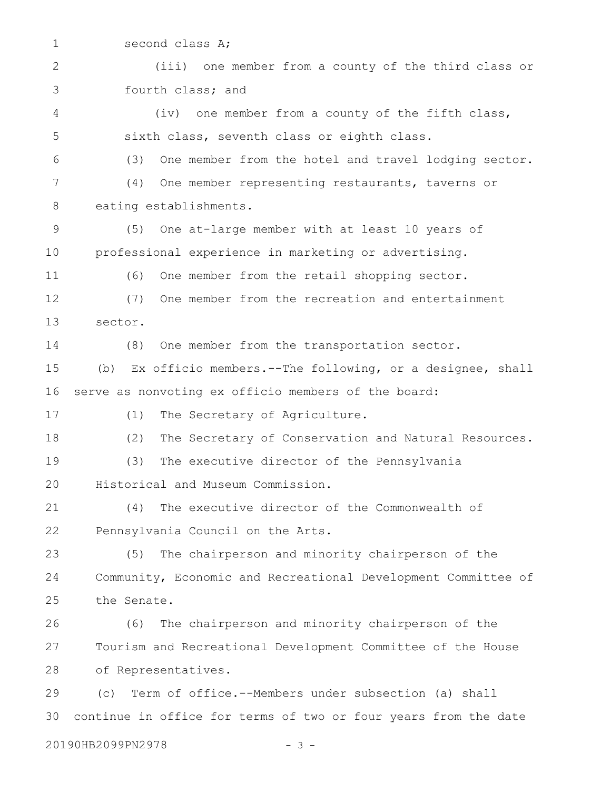second class A; (iii) one member from a county of the third class or fourth class; and (iv) one member from a county of the fifth class, sixth class, seventh class or eighth class. (3) One member from the hotel and travel lodging sector. (4) One member representing restaurants, taverns or eating establishments. (5) One at-large member with at least 10 years of professional experience in marketing or advertising. (6) One member from the retail shopping sector. (7) One member from the recreation and entertainment sector. (8) One member from the transportation sector. (b) Ex officio members.--The following, or a designee, shall serve as nonvoting ex officio members of the board: (1) The Secretary of Agriculture. (2) The Secretary of Conservation and Natural Resources. (3) The executive director of the Pennsylvania Historical and Museum Commission. (4) The executive director of the Commonwealth of Pennsylvania Council on the Arts. (5) The chairperson and minority chairperson of the Community, Economic and Recreational Development Committee of the Senate. (6) The chairperson and minority chairperson of the Tourism and Recreational Development Committee of the House of Representatives. (c) Term of office.--Members under subsection (a) shall continue in office for terms of two or four years from the date 1 2 3 4 5 6 7 8 9 10 11 12 13 14 15 16 17 18 19 20 21 22 23 24 25 26 27 28 29 30

20190HB2099PN2978 - 3 -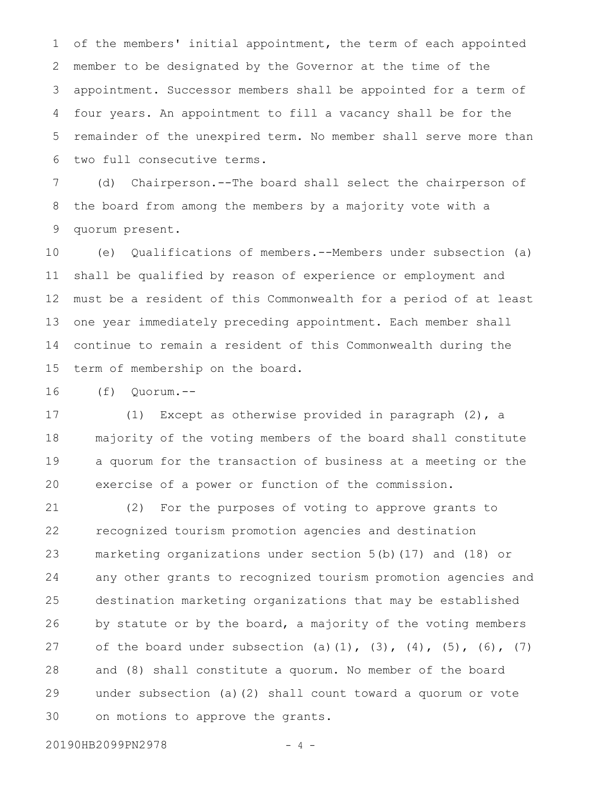of the members' initial appointment, the term of each appointed member to be designated by the Governor at the time of the appointment. Successor members shall be appointed for a term of four years. An appointment to fill a vacancy shall be for the remainder of the unexpired term. No member shall serve more than two full consecutive terms. 1 2 3 4 5 6

(d) Chairperson.--The board shall select the chairperson of the board from among the members by a majority vote with a quorum present. 7 8 9

(e) Qualifications of members.--Members under subsection (a) shall be qualified by reason of experience or employment and must be a resident of this Commonwealth for a period of at least one year immediately preceding appointment. Each member shall continue to remain a resident of this Commonwealth during the term of membership on the board. 10 11 12 13 14 15

(f) Quorum.-- 16

(1) Except as otherwise provided in paragraph (2), a majority of the voting members of the board shall constitute a quorum for the transaction of business at a meeting or the exercise of a power or function of the commission. 17 18 19 20

(2) For the purposes of voting to approve grants to recognized tourism promotion agencies and destination marketing organizations under section 5(b)(17) and (18) or any other grants to recognized tourism promotion agencies and destination marketing organizations that may be established by statute or by the board, a majority of the voting members of the board under subsection (a)(1),  $(3)$ ,  $(4)$ ,  $(5)$ ,  $(6)$ ,  $(7)$ and (8) shall constitute a quorum. No member of the board under subsection (a)(2) shall count toward a quorum or vote on motions to approve the grants. 21 22 23 24 25 26 27 28 29 30

20190HB2099PN2978 - 4 -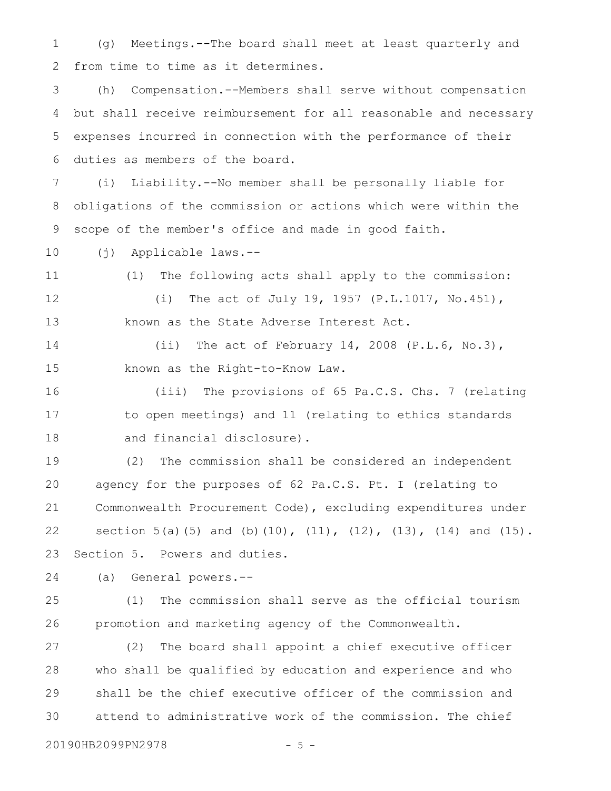(g) Meetings.--The board shall meet at least quarterly and from time to time as it determines. 1 2

(h) Compensation.--Members shall serve without compensation but shall receive reimbursement for all reasonable and necessary expenses incurred in connection with the performance of their duties as members of the board. 3 4 5 6

(i) Liability.--No member shall be personally liable for obligations of the commission or actions which were within the scope of the member's office and made in good faith. 7 8 9

(j) Applicable laws.-- 10

(1) The following acts shall apply to the commission: (i) The act of July 19, 1957 (P.L.1017, No.451), 11 12

known as the State Adverse Interest Act.

(ii) The act of February 14, 2008 (P.L.6, No.3), known as the Right-to-Know Law. 14 15

(iii) The provisions of 65 Pa.C.S. Chs. 7 (relating to open meetings) and 11 (relating to ethics standards and financial disclosure). 16 17 18

(2) The commission shall be considered an independent agency for the purposes of 62 Pa.C.S. Pt. I (relating to Commonwealth Procurement Code), excluding expenditures under section 5(a)(5) and (b)(10), (11), (12), (13), (14) and (15). Section 5. Powers and duties. 19 20 21 22 23

(a) General powers.-- 24

25

13

(1) The commission shall serve as the official tourism promotion and marketing agency of the Commonwealth. 26

(2) The board shall appoint a chief executive officer who shall be qualified by education and experience and who shall be the chief executive officer of the commission and attend to administrative work of the commission. The chief 27 28 29 30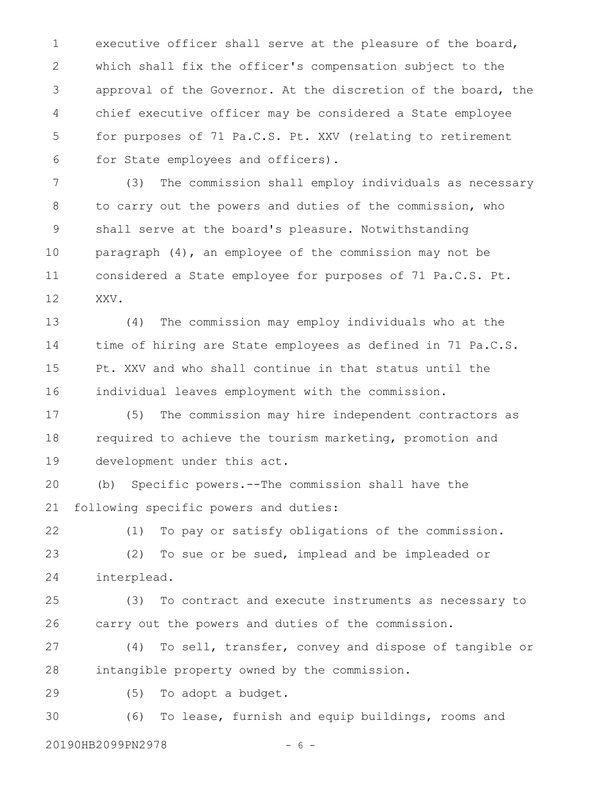executive officer shall serve at the pleasure of the board, which shall fix the officer's compensation subject to the approval of the Governor. At the discretion of the board, the chief executive officer may be considered a State employee for purposes of 71 Pa.C.S. Pt. XXV (relating to retirement for State employees and officers). 1 2 3 4 5 6

(3) The commission shall employ individuals as necessary to carry out the powers and duties of the commission, who shall serve at the board's pleasure. Notwithstanding paragraph (4), an employee of the commission may not be considered a State employee for purposes of 71 Pa.C.S. Pt. XXV. 7 8 9 10 11 12

(4) The commission may employ individuals who at the time of hiring are State employees as defined in 71 Pa.C.S. Pt. XXV and who shall continue in that status until the individual leaves employment with the commission. 13 14 15 16

(5) The commission may hire independent contractors as required to achieve the tourism marketing, promotion and development under this act. 17 18 19

(b) Specific powers.--The commission shall have the following specific powers and duties: 20 21

(1) To pay or satisfy obligations of the commission. (2) To sue or be sued, implead and be impleaded or interplead. 22 23 24

(3) To contract and execute instruments as necessary to carry out the powers and duties of the commission. 25 26

(4) To sell, transfer, convey and dispose of tangible or intangible property owned by the commission. 27 28

(5) To adopt a budget. 29

(6) To lease, furnish and equip buildings, rooms and 30

20190HB2099PN2978 - 6 -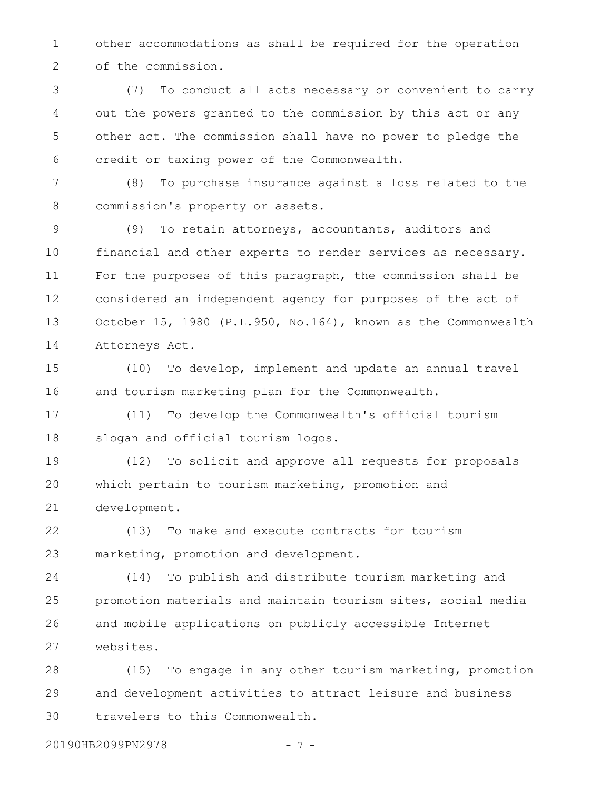other accommodations as shall be required for the operation of the commission. 1 2

(7) To conduct all acts necessary or convenient to carry out the powers granted to the commission by this act or any other act. The commission shall have no power to pledge the credit or taxing power of the Commonwealth. 3 4 5 6

(8) To purchase insurance against a loss related to the commission's property or assets. 7 8

(9) To retain attorneys, accountants, auditors and financial and other experts to render services as necessary. For the purposes of this paragraph, the commission shall be considered an independent agency for purposes of the act of October 15, 1980 (P.L.950, No.164), known as the Commonwealth Attorneys Act. 9 10 11 12 13 14

(10) To develop, implement and update an annual travel and tourism marketing plan for the Commonwealth. 15 16

(11) To develop the Commonwealth's official tourism slogan and official tourism logos. 17 18

(12) To solicit and approve all requests for proposals which pertain to tourism marketing, promotion and development. 19 20 21

(13) To make and execute contracts for tourism marketing, promotion and development. 22 23

(14) To publish and distribute tourism marketing and promotion materials and maintain tourism sites, social media and mobile applications on publicly accessible Internet websites. 24 25 26 27

(15) To engage in any other tourism marketing, promotion and development activities to attract leisure and business travelers to this Commonwealth. 28 29 30

20190HB2099PN2978 - 7 -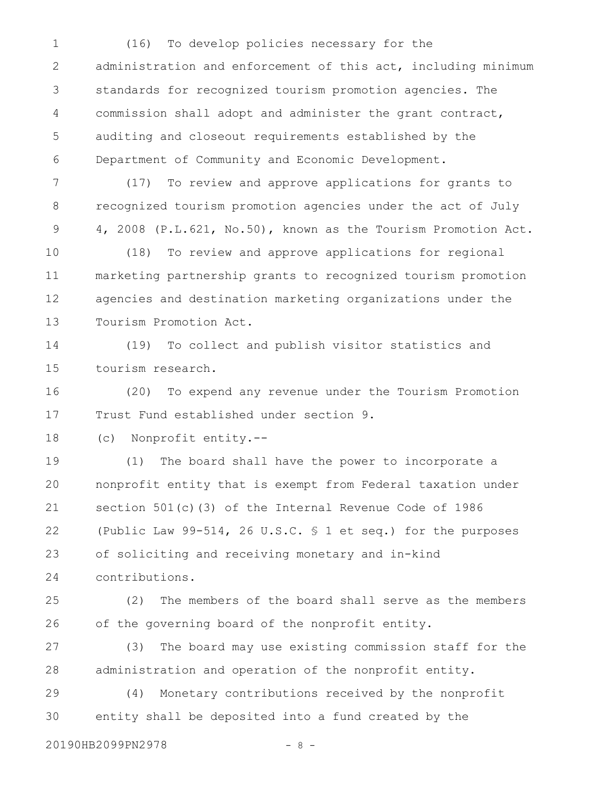(16) To develop policies necessary for the administration and enforcement of this act, including minimum standards for recognized tourism promotion agencies. The commission shall adopt and administer the grant contract, auditing and closeout requirements established by the Department of Community and Economic Development. 1 2 3 4 5 6

(17) To review and approve applications for grants to recognized tourism promotion agencies under the act of July 4, 2008 (P.L.621, No.50), known as the Tourism Promotion Act. 7 8 9

(18) To review and approve applications for regional marketing partnership grants to recognized tourism promotion agencies and destination marketing organizations under the Tourism Promotion Act. 10 11 12 13

(19) To collect and publish visitor statistics and tourism research. 14 15

(20) To expend any revenue under the Tourism Promotion Trust Fund established under section 9. 16 17

(c) Nonprofit entity.-- 18

(1) The board shall have the power to incorporate a nonprofit entity that is exempt from Federal taxation under section 501(c)(3) of the Internal Revenue Code of 1986 (Public Law 99-514, 26 U.S.C. § 1 et seq.) for the purposes of soliciting and receiving monetary and in-kind contributions. 19 20 21 22 23 24

(2) The members of the board shall serve as the members of the governing board of the nonprofit entity. 25 26

(3) The board may use existing commission staff for the administration and operation of the nonprofit entity. 27 28

(4) Monetary contributions received by the nonprofit entity shall be deposited into a fund created by the 29 30

20190HB2099PN2978 - 8 -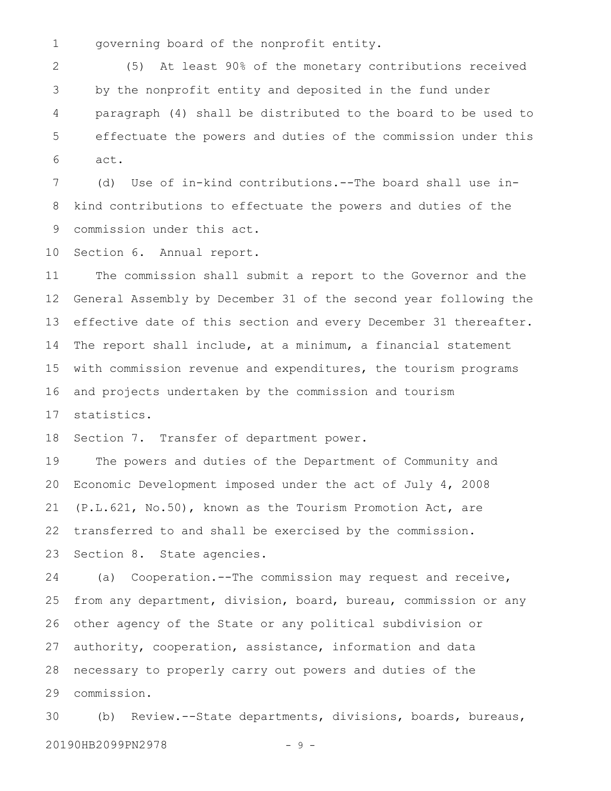governing board of the nonprofit entity. 1

(5) At least 90% of the monetary contributions received by the nonprofit entity and deposited in the fund under paragraph (4) shall be distributed to the board to be used to effectuate the powers and duties of the commission under this act. 2 3 4 5 6

(d) Use of in-kind contributions.--The board shall use inkind contributions to effectuate the powers and duties of the commission under this act. 7 8 9

Section 6. Annual report. 10

The commission shall submit a report to the Governor and the General Assembly by December 31 of the second year following the effective date of this section and every December 31 thereafter. The report shall include, at a minimum, a financial statement with commission revenue and expenditures, the tourism programs and projects undertaken by the commission and tourism statistics. 11 12 13 14 15 16 17

Section 7. Transfer of department power. 18

The powers and duties of the Department of Community and Economic Development imposed under the act of July 4, 2008 (P.L.621, No.50), known as the Tourism Promotion Act, are transferred to and shall be exercised by the commission. Section 8. State agencies. 19 20 21 22 23

(a) Cooperation.--The commission may request and receive, from any department, division, board, bureau, commission or any other agency of the State or any political subdivision or authority, cooperation, assistance, information and data necessary to properly carry out powers and duties of the commission. 24 25 26 27 28 29

(b) Review.--State departments, divisions, boards, bureaus, 20190HB2099PN2978 - 9 -30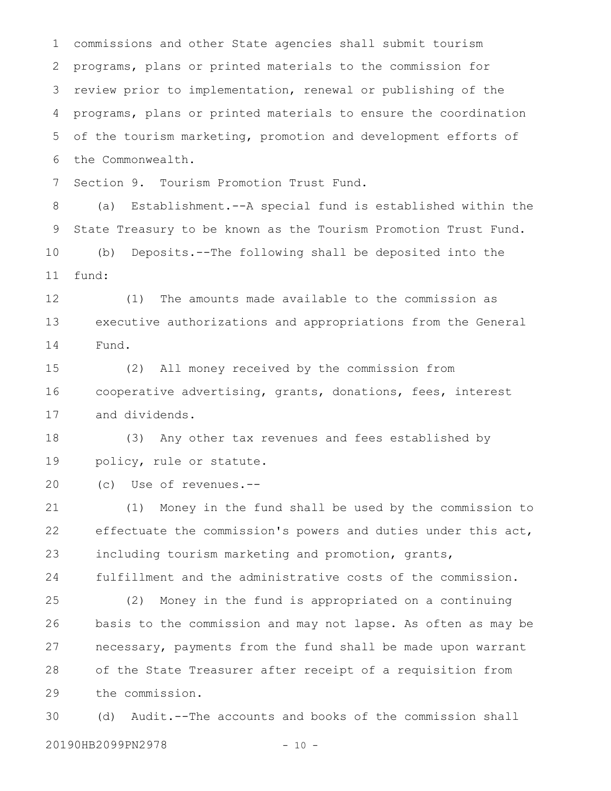commissions and other State agencies shall submit tourism programs, plans or printed materials to the commission for review prior to implementation, renewal or publishing of the programs, plans or printed materials to ensure the coordination of the tourism marketing, promotion and development efforts of the Commonwealth. 1 2 3 4 5 6

Section 9. Tourism Promotion Trust Fund. 7

(a) Establishment.--A special fund is established within the State Treasury to be known as the Tourism Promotion Trust Fund. (b) Deposits.--The following shall be deposited into the fund: 8 9 10 11

(1) The amounts made available to the commission as executive authorizations and appropriations from the General Fund. 12 13 14

(2) All money received by the commission from cooperative advertising, grants, donations, fees, interest and dividends. 15 16 17

(3) Any other tax revenues and fees established by policy, rule or statute. 18 19

(c) Use of revenues.-- 20

(1) Money in the fund shall be used by the commission to effectuate the commission's powers and duties under this act, including tourism marketing and promotion, grants, fulfillment and the administrative costs of the commission. 21 22 23 24

(2) Money in the fund is appropriated on a continuing basis to the commission and may not lapse. As often as may be necessary, payments from the fund shall be made upon warrant of the State Treasurer after receipt of a requisition from the commission. 25 26 27 28 29

(d) Audit.--The accounts and books of the commission shall 20190HB2099PN2978 - 10 -30